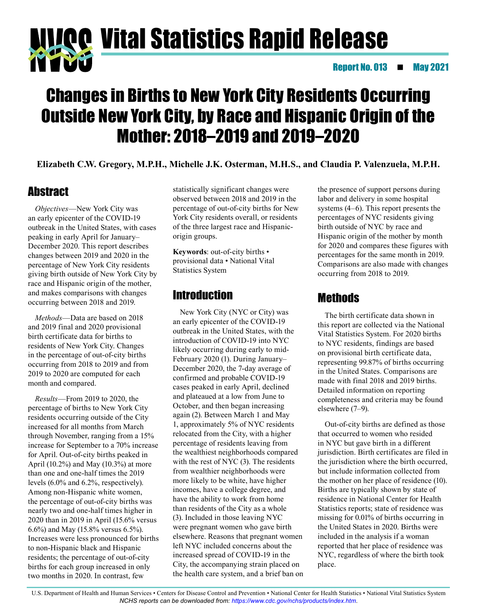# Vital Statistics Rapid Release Report No. 013 May 2021

## Changes in Births to New York City Residents Occurring Outside New York City, by Race and Hispanic Origin of the Mother: 2018–2019 and 2019–2020

**Elizabeth C.W. Gregory, M.P.H., Michelle J.K. Osterman, M.H.S., and Claudia P. Valenzuela, M.P.H.**

## **Abstract**

*Objectives*—New York City was an early epicenter of the COVID-19 outbreak in the United States, with cases peaking in early April for January– December 2020. This report describes changes between 2019 and 2020 in the percentage of New York City residents giving birth outside of New York City by race and Hispanic origin of the mother, and makes comparisons with changes occurring between 2018 and 2019.

*Methods*—Data are based on 2018 and 2019 final and 2020 provisional birth certificate data for births to residents of New York City. Changes in the percentage of out-of-city births occurring from 2018 to 2019 and from 2019 to 2020 are computed for each month and compared.

*Results*—From 2019 to 2020, the percentage of births to New York City residents occurring outside of the City increased for all months from March through November, ranging from a 15% increase for September to a 70% increase for April. Out-of-city births peaked in April (10.2%) and May (10.3%) at more than one and one-half times the 2019 levels (6.0% and 6.2%, respectively). Among non-Hispanic white women, the percentage of out-of-city births was nearly two and one-half times higher in 2020 than in 2019 in April (15.6% versus 6.6%) and May (15.8% versus 6.5%). Increases were less pronounced for births to non-Hispanic black and Hispanic residents; the percentage of out-of-city births for each group increased in only two months in 2020. In contrast, few

statistically significant changes were observed between 2018 and 2019 in the percentage of out-of-city births for New York City residents overall, or residents of the three largest race and Hispanicorigin groups.

**Keywords**: out-of-city births • provisional data • National Vital Statistics System

## Introduction

New York City (NYC or City) was an early epicenter of the COVID-19 outbreak in the United States, with the introduction of COVID-19 into NYC likely occurring during early to mid-February 2020 (1). During January– December 2020, the 7-day average of confirmed and probable COVID-19 cases peaked in early April, declined and plateaued at a low from June to October, and then began increasing again (2). Between March 1 and May 1, approximately 5% of NYC residents relocated from the City, with a higher percentage of residents leaving from the wealthiest neighborhoods compared with the rest of NYC (3). The residents from wealthier neighborhoods were more likely to be white, have higher incomes, have a college degree, and have the ability to work from home than residents of the City as a whole (3). Included in those leaving NYC were pregnant women who gave birth elsewhere. Reasons that pregnant women left NYC included concerns about the increased spread of COVID-19 in the City, the accompanying strain placed on the health care system, and a brief ban on the presence of support persons during labor and delivery in some hospital systems (4–6). This report presents the percentages of NYC residents giving birth outside of NYC by race and Hispanic origin of the mother by month for 2020 and compares these figures with percentages for the same month in 2019. Comparisons are also made with changes occurring from 2018 to 2019.

## Methods

The birth certificate data shown in this report are collected via the National Vital Statistics System. For 2020 births to NYC residents, findings are based on provisional birth certificate data, representing 99.87% of births occurring in the United States. Comparisons are made with final 2018 and 2019 births. Detailed information on reporting completeness and criteria may be found elsewhere (7–9).

Out-of-city births are defined as those that occurred to women who resided in NYC but gave birth in a different jurisdiction. Birth certificates are filed in the jurisdiction where the birth occurred, but include information collected from the mother on her place of residence (10). Births are typically shown by state of residence in National Center for Health Statistics reports; state of residence was missing for 0.01% of births occurring in the United States in 2020. Births were included in the analysis if a woman reported that her place of residence was NYC, regardless of where the birth took place.

U.S. Department of Health and Human Services • Centers for Disease Control and Prevention • National Center for Health Statistics • National Vital Statistics System *NCHS reports can be downloaded from:<https://www.cdc.gov/nchs/products/index.htm>*.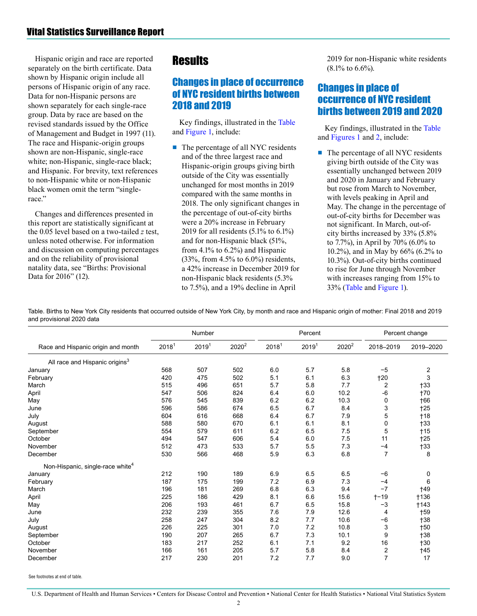<span id="page-1-0"></span>Hispanic origin and race are reported separately on the birth certificate. Data shown by Hispanic origin include all persons of Hispanic origin of any race. Data for non-Hispanic persons are shown separately for each single-race group. Data by race are based on the revised standards issued by the Office of Management and Budget in 1997 (11). The race and Hispanic-origin groups shown are non-Hispanic, single-race white; non-Hispanic, single-race black; and Hispanic. For brevity, text references to non-Hispanic white or non-Hispanic black women omit the term "singlerace."

Changes and differences presented in this report are statistically significant at the 0.05 level based on a two-tailed *z* test, unless noted otherwise. For information and discussion on computing percentages and on the reliability of provisional natality data, see "Births: Provisional Data for 2016" (12).

## **Results**

#### Changes in place of occurrence of NYC resident births between 2018 and 2019

Key findings, illustrated in the Table and [Figure 1,](#page-3-0) include:

■ The percentage of all NYC residents and of the three largest race and Hispanic-origin groups giving birth outside of the City was essentially unchanged for most months in 2019 compared with the same months in 2018. The only significant changes in the percentage of out-of-city births were a 20% increase in February 2019 for all residents (5.1% to 6.1%) and for non-Hispanic black (51%, from 4.1% to 6.2%) and Hispanic (33%, from 4.5% to 6.0%) residents, a 42% increase in December 2019 for non-Hispanic black residents (5.3% to 7.5%), and a 19% decline in April

2019 for non-Hispanic white residents (8.1% to 6.6%).

#### Changes in place of occurrence of NYC resident births between 2019 and 2020

Key findings, illustrated in the Table and [Figures 1](#page-3-0) an[d 2,](#page-4-0) include:

■ The percentage of all NYC residents giving birth outside of the City was essentially unchanged between 2019 and 2020 in January and February but rose from March to November, with levels peaking in April and May. The change in the percentage of out-of-city births for December was not significant. In March, out-ofcity births increased by 33% (5.8% to 7.7%), in April by 70% (6.0% to 10.2%), and in May by 66% (6.2% to 10.3%). Out-of-city births continued to rise for June through November with increases ranging from 15% to 33% (Table and [Figure 1\)](#page-3-0).

Table. Births to New York City residents that occurred outside of New York City, by month and race and Hispanic origin of mother: Final 2018 and 2019 and provisional 2020 data

|                                              | Number            |                   |                   | Percent           |                   |                   | Percent change   |                |
|----------------------------------------------|-------------------|-------------------|-------------------|-------------------|-------------------|-------------------|------------------|----------------|
| Race and Hispanic origin and month           | 2018 <sup>1</sup> | 2019 <sup>1</sup> | 2020 <sup>2</sup> | 2018 <sup>1</sup> | 2019 <sup>1</sup> | 2020 <sup>2</sup> | 2018-2019        | 2019-2020      |
| All race and Hispanic origins <sup>3</sup>   |                   |                   |                   |                   |                   |                   |                  |                |
| January                                      | 568               | 507               | 502               | 6.0               | 5.7               | 5.8               | $-5$             | $\overline{2}$ |
| February                                     | 420               | 475               | 502               | 5.1               | 6.1               | 6.3               | †20              | 3              |
| March                                        | 515               | 496               | 651               | 5.7               | 5.8               | 7.7               | $\overline{c}$   | †33            |
| April                                        | 547               | 506               | 824               | 6.4               | 6.0               | 10.2              | -6               | <b>+70</b>     |
| May                                          | 576               | 545               | 839               | 6.2               | 6.2               | 10.3              | 0                | <b>+66</b>     |
| June                                         | 596               | 586               | 674               | 6.5               | 6.7               | 8.4               | 3                | $+25$          |
| July                                         | 604               | 616               | 668               | 6.4               | 6.7               | 7.9               | 5                | $+18$          |
| August                                       | 588               | 580               | 670               | 6.1               | 6.1               | 8.1               | 0                | $+33$          |
| September                                    | 554               | 579               | 611               | 6.2               | 6.5               | 7.5               | 5                | $+15$          |
| October                                      | 494               | 547               | 606               | 5.4               | 6.0               | 7.5               | 11               | $+25$          |
| November                                     | 512               | 473               | 533               | 5.7               | 5.5               | 7.3               | $-4$             | $+33$          |
| December                                     | 530               | 566               | 468               | 5.9               | 6.3               | 6.8               | $\overline{7}$   | 8              |
| Non-Hispanic, single-race white <sup>4</sup> |                   |                   |                   |                   |                   |                   |                  |                |
| January                                      | 212               | 190               | 189               | 6.9               | 6.5               | 6.5               | $-6$             | 0              |
| February                                     | 187               | 175               | 199               | 7.2               | 6.9               | 7.3               | $-4$             | 6              |
| March                                        | 196               | 181               | 269               | 6.8               | 6.3               | 9.4               | $-7$             | <b>+49</b>     |
| April                                        | 225               | 186               | 429               | 8.1               | 6.6               | 15.6              | $+ - 19$         | <b>+136</b>    |
| May                                          | 206               | 193               | 461               | 6.7               | 6.5               | 15.8              | $-3$             | $+143$         |
| June                                         | 232               | 239               | 355               | 7.6               | 7.9               | 12.6              | 4                | <b>+59</b>     |
| July                                         | 258               | 247               | 304               | 8.2               | 7.7               | 10.6              | $-6$             | <b>+38</b>     |
| August                                       | 226               | 225               | 301               | 7.0               | 7.2               | 10.8              | 3                | +50            |
| September                                    | 190               | 207               | 265               | 6.7               | 7.3               | 10.1              | 9                | $+38$          |
| October                                      | 183               | 217               | 252               | 6.1               | 7.1               | 9.2               | 16               | $+30$          |
| November                                     | 166               | 161               | 205               | 5.7               | 5.8               | 8.4               | $\boldsymbol{2}$ | †45            |
| December                                     | 217               | 230               | 201               | 7.2               | 7.7               | 9.0               | $\overline{7}$   | 17             |

See footnotes at end of table.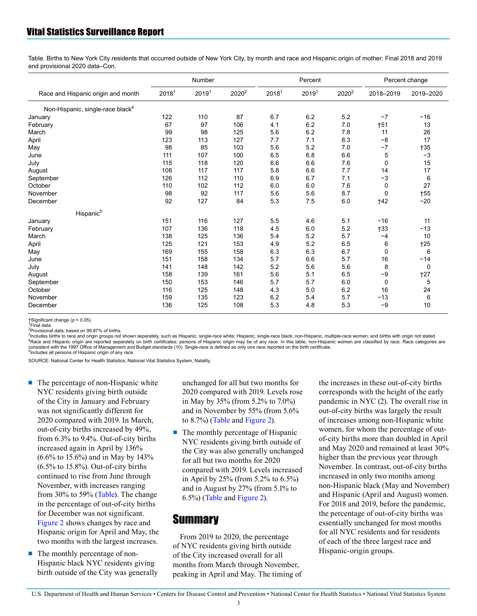#### Vital Statistics Surveillance Report

Table. Births to New York City residents that occurred outside of New York City, by month and race and Hispanic origin of mother: Final 2018 and 2019 and provisional 2020 data–Con.

|                                              | Number            |                   |                   | Percent           |                   |                   | Percent change |            |
|----------------------------------------------|-------------------|-------------------|-------------------|-------------------|-------------------|-------------------|----------------|------------|
| Race and Hispanic origin and month           | 2018 <sup>1</sup> | 2019 <sup>1</sup> | 2020 <sup>2</sup> | 2018 <sup>1</sup> | 2019 <sup>1</sup> | 2020 <sup>2</sup> | 2018-2019      | 2019-2020  |
| Non-Hispanic, single-race black <sup>4</sup> |                   |                   |                   |                   |                   |                   |                |            |
| January                                      | 122               | 110               | 87                | 6.7               | 6.2               | 5.2               | $-7$           | $-16$      |
| February                                     | 67                | 97                | 106               | 4.1               | 6.2               | 7.0               | †51            | 13         |
| March                                        | 99                | 98                | 125               | 5.6               | 6.2               | 7.8               | 11             | 26         |
| April                                        | 123               | 113               | 127               | 7.7               | 7.1               | 8.3               | $-8$           | 17         |
| May                                          | 98                | 85                | 103               | 5.6               | 5.2               | 7.0               | $-7$           | $+35$      |
| June                                         | 111               | 107               | 100               | 6.5               | 6.8               | 6.6               | 5              | $-3$       |
| July                                         | 115               | 118               | 120               | 6.6               | 6.6               | 7.6               | 0              | 15         |
| August                                       | 108               | 117               | 117               | 5.8               | 6.6               | 7.7               | 14             | 17         |
| September                                    | 126               | 112               | 110               | 6.9               | 6.7               | 7.1               | $-3$           | 6          |
| October                                      | 110               | 102               | 112               | 6.0               | 6.0               | 7.6               | 0              | 27         |
| November                                     | 98                | 92                | 117               | 5.6               | 5.6               | 8.7               | 0              | <b>†55</b> |
| December                                     | 92                | 127               | 84                | 5.3               | 7.5               | 6.0               | <b>†42</b>     | $-20$      |
| Hispanic <sup>5</sup>                        |                   |                   |                   |                   |                   |                   |                |            |
| January                                      | 151               | 116               | 127               | 5.5               | 4.6               | 5.1               | $-16$          | 11         |
| February                                     | 107               | 136               | 118               | 4.5               | 6.0               | 5.2               | $+33$          | $-13$      |
| March                                        | 138               | 125               | 136               | 5.4               | 5.2               | 5.7               | $-4$           | 10         |
| April                                        | 125               | 121               | 153               | 4.9               | 5.2               | 6.5               | 6              | $+25$      |
| May                                          | 169               | 155               | 158               | 6.3               | 6.3               | 6.7               | $\mathbf 0$    | 6          |
| June                                         | 151               | 158               | 134               | 5.7               | 6.6               | 5.7               | 16             | $-14$      |
| July                                         | 141               | 148               | 142               | 5.2               | 5.6               | 5.6               | 8              | 0          |
| August                                       | 158               | 139               | 161               | 5.6               | 5.1               | 6.5               | $-9$           | $+27$      |
| September                                    | 150               | 153               | 146               | 5.7               | 5.7               | 6.0               | 0              | 5          |
| October                                      | 116               | 125               | 148               | 4.3               | 5.0               | 6.2               | 16             | 24         |
| November                                     | 159               | 135               | 123               | 6.2               | 5.4               | 5.7               | $-13$          | 6          |
| December                                     | 136               | 125               | 108               | 5.3               | 4.8               | 5.3               | $-9$           | 10         |

†Significant change (*p* < 0.05). <sup>1</sup>

Final data.

<sup>2</sup>Provisional data; based on 99.87% of births.

<sup>3</sup>Includes births to race and origin groups not shown separately, such as Hispanic, single-race white; Hispanic, single-race black; non-Hispanic, multiple-race women; and births with origin not stated. <sup>4</sup>Race and Hispanic origin are reported separately on birth certificates; persons of Hispanic origin may be of any race. In this table, non-Hispanic women are classified by race. Race categories are<br>consistent with the 19 5 Includes all persons of Hispanic origin of any race.

SOURCE: National Center for Health Statistics, National Vital Statistics System, Natality.

- The percentage of non-Hispanic white NYC residents giving birth outside of the City in January and February was not significantly different for 2020 compared with 2019. In March, out-of-city births increased by 49%, from 6.3% to 9.4%. Out-of-city births increased again in April by 136% (6.6% to 15.6%) and in May by 143% (6.5% to 15.8%). Out-of-city births continued to rise from June through November, with increases ranging from 30% to 59% [\(Table\)](#page-1-0). The change in the percentage of out-of-city births for December was not significant. [Figure 2](#page-4-0) shows changes by race and Hispanic origin for April and May, the two months with the largest increases.
- The monthly percentage of non-Hispanic black NYC residents giving birth outside of the City was generally

unchanged for all but two months for 2020 compared with 2019. Levels rose in May by 35% (from 5.2% to 7.0%) and in November by 55% (from 5.6% to 8.7%) [\(Table](#page-1-0) and [Figure 2\)](#page-4-0).

■ The monthly percentage of Hispanic NYC residents giving birth outside of the City was also generally unchanged for all but two months for 2020 compared with 2019. Levels increased in April by 25% (from 5.2% to 6.5%) and in August by 27% (from 5.1% to 6.5%) [\(Table](#page-1-0) and [Figure 2\)](#page-4-0).

#### **Summary**

From 2019 to 2020, the percentage of NYC residents giving birth outside of the City increased overall for all months from March through November, peaking in April and May. The timing of the increases in these out-of-city births corresponds with the height of the early pandemic in NYC (2). The overall rise in out-of-city births was largely the result of increases among non-Hispanic white women, for whom the percentage of outof-city births more than doubled in April and May 2020 and remained at least 30% higher than the previous year through November. In contrast, out-of-city births increased in only two months among non-Hispanic black (May and November) and Hispanic (April and August) women. For 2018 and 2019, before the pandemic, the percentage of out-of-city births was essentially unchanged for most months for all NYC residents and for residents of each of the three largest race and Hispanic-origin groups.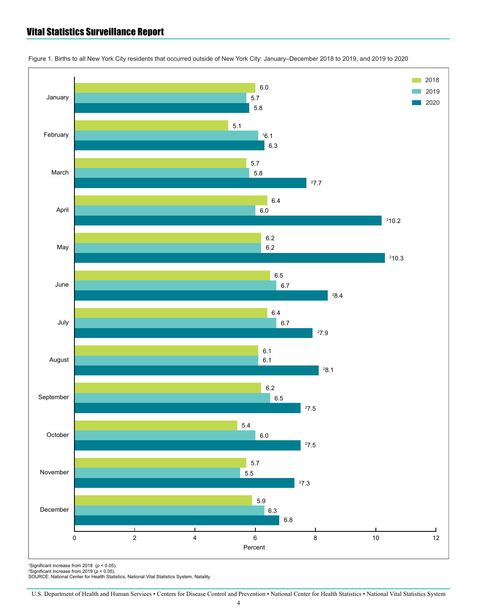#### <span id="page-3-0"></span>Vital Statistics Surveillance Report



Figure 1. Births to all New York City residents that occurred outside of New York City: January–December 2018 to 2019, and 2019 to 2020

'Significant increase from 2018 *(p <* 0.05).<br><sup>c</sup>Significant increase from 2019 *(p <* 0.05).<br>SOURCE: National Center for Health Statistics, National Vital Statistics System, Natality.

U.S. Department of Health and Human Services • Centers for Disease Control and Prevention • National Center for Health Statistics • National Vital Statistics System